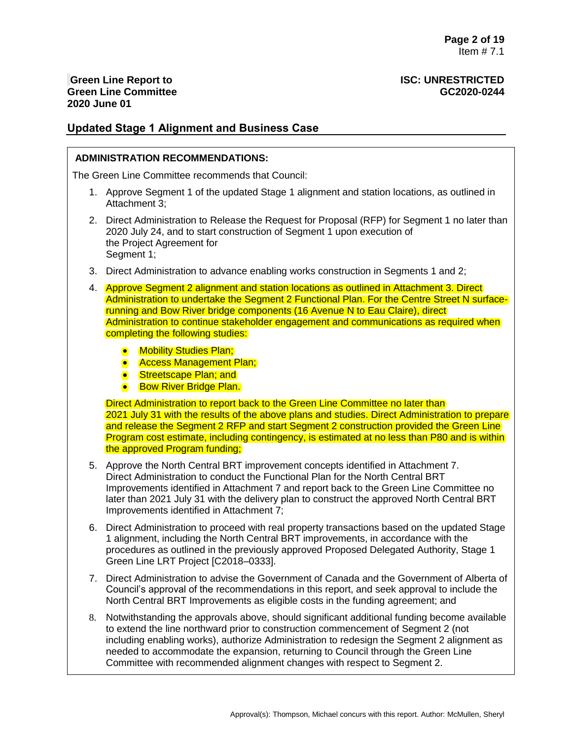## **Updated Stage 1 Alignment and Business Case**

### **ADMINISTRATION RECOMMENDATIONS:**

The Green Line Committee recommends that Council:

- 1. Approve Segment 1 of the updated Stage 1 alignment and station locations, as outlined in Attachment 3;
- 2. Direct Administration to Release the Request for Proposal (RFP) for Segment 1 no later than 2020 July 24, and to start construction of Segment 1 upon execution of the Project Agreement for Segment 1;
- 3. Direct Administration to advance enabling works construction in Segments 1 and 2;
- 4. Approve Segment 2 alignment and station locations as outlined in Attachment 3. Direct Administration to undertake the Segment 2 Functional Plan. For the Centre Street N surfacerunning and Bow River bridge components (16 Avenue N to Eau Claire), direct Administration to continue stakeholder engagement and communications as required when completing the following studies:
	- Mobility Studies Plan;
	- **Access Management Plan;**
	- Streetscape Plan; and
	- **Bow River Bridge Plan.**

Direct Administration to report back to the Green Line Committee no later than 2021 July 31 with the results of the above plans and studies. Direct Administration to prepare and release the Segment 2 RFP and start Segment 2 construction provided the Green Line Program cost estimate, including contingency, is estimated at no less than P80 and is within the approved Program funding;

- 5. Approve the North Central BRT improvement concepts identified in Attachment 7. Direct Administration to conduct the Functional Plan for the North Central BRT Improvements identified in Attachment 7 and report back to the Green Line Committee no later than 2021 July 31 with the delivery plan to construct the approved North Central BRT Improvements identified in Attachment 7;
- 6. Direct Administration to proceed with real property transactions based on the updated Stage 1 alignment, including the North Central BRT improvements, in accordance with the procedures as outlined in the previously approved Proposed Delegated Authority, Stage 1 Green Line LRT Project [C2018–0333].
- 7. Direct Administration to advise the Government of Canada and the Government of Alberta of Council's approval of the recommendations in this report, and seek approval to include the North Central BRT Improvements as eligible costs in the funding agreement; and
- 8. Notwithstanding the approvals above, should significant additional funding become available to extend the line northward prior to construction commencement of Segment 2 (not including enabling works), authorize Administration to redesign the Segment 2 alignment as needed to accommodate the expansion, returning to Council through the Green Line Committee with recommended alignment changes with respect to Segment 2.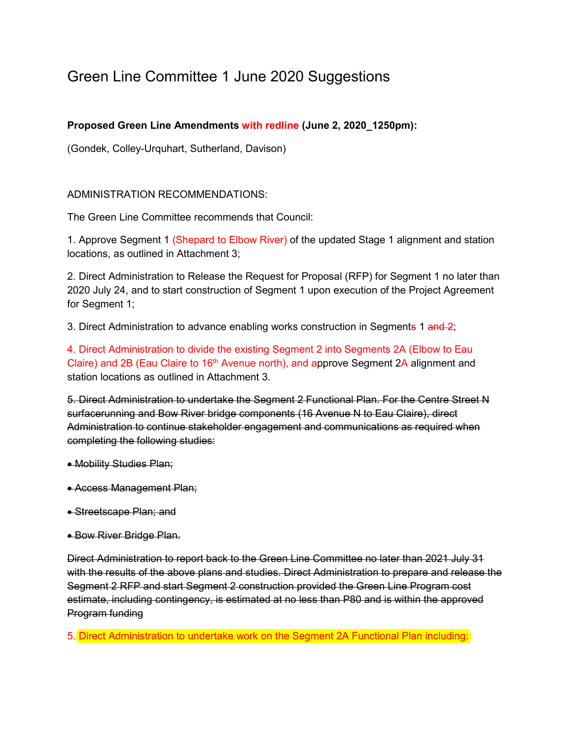# Green Line Committee 1 June 2020 Suggestions

## **Proposed Green Line Amendments with redline (June 2, 2020\_1250pm):**

(Gondek, Colley-Urquhart, Sutherland, Davison)

## ADMINISTRATION RECOMMENDATIONS:

The Green Line Committee recommends that Council:

1. Approve Segment 1 (Shepard to Elbow River) of the updated Stage 1 alignment and station locations, as outlined in Attachment 3;

2. Direct Administration to Release the Request for Proposal (RFP) for Segment 1 no later than 2020 July 24, and to start construction of Segment 1 upon execution of the Project Agreement for Segment 1;

3. Direct Administration to advance enabling works construction in Segments 1 and 2;

4. Direct Administration to divide the existing Segment 2 into Segments 2A (Elbow to Eau Claire) and 2B (Eau Claire to 16<sup>th</sup> Avenue north), and approve Segment 2A alignment and station locations as outlined in Attachment 3.

5. Direct Administration to undertake the Segment 2 Functional Plan. For the Centre Street N surfacerunning and Bow River bridge components (16 Avenue N to Eau Claire), direct Administration to continue stakeholder engagement and communications as required when completing the following studies:

- Mobility Studies Plan;
- Access Management Plan;
- Streetscape Plan; and
- Bow River Bridge Plan.

Direct Administration to report back to the Green Line Committee no later than 2021 July 31 with the results of the above plans and studies. Direct Administration to prepare and release the Segment 2 RFP and start Segment 2 construction provided the Green Line Program cost estimate, including contingency, is estimated at no less than P80 and is within the approved Program funding

5. Direct Administration to undertake work on the Segment 2A Functional Plan including: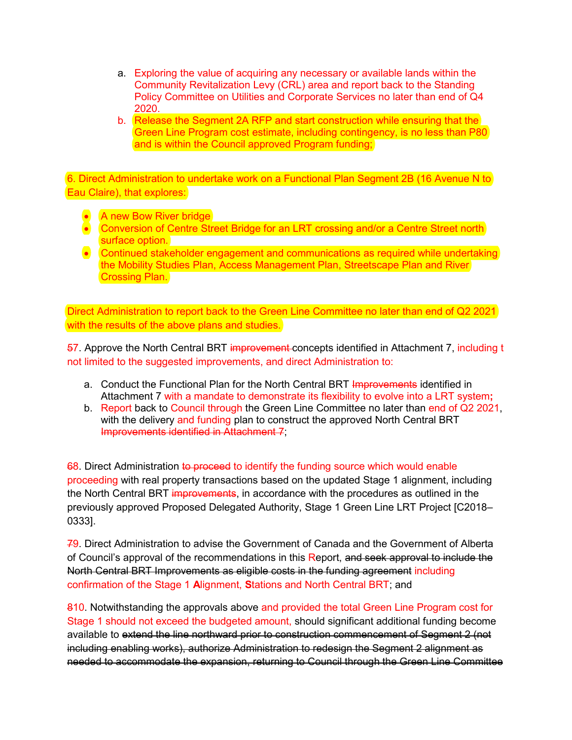- a. Exploring the value of acquiring any necessary or available lands within the Community Revitalization Levy (CRL) area and report back to the Standing Policy Committee on Utilities and Corporate Services no later than end of Q4 2020.
- b. Release the Segment 2A RFP and start construction while ensuring that the Green Line Program cost estimate, including contingency, is no less than P80 and is within the Council approved Program funding;

6. Direct Administration to undertake work on a Functional Plan Segment 2B (16 Avenue N to Eau Claire), that explores:

- A new Bow River bridge
- Conversion of Centre Street Bridge for an LRT crossing and/or a Centre Street north surface option.
- Continued stakeholder engagement and communications as required while undertaking the Mobility Studies Plan, Access Management Plan, Streetscape Plan and River Crossing Plan.

Direct Administration to report back to the Green Line Committee no later than end of Q2 2021 with the results of the above plans and studies.

57. Approve the North Central BRT improvement concepts identified in Attachment 7, including t not limited to the suggested improvements, and direct Administration to:

- a. Conduct the Functional Plan for the North Central BRT Improvements identified in Attachment 7 with a mandate to demonstrate its flexibility to evolve into a LRT system**;**
- b. Report back to Council through the Green Line Committee no later than end of Q2 2021, with the delivery and funding plan to construct the approved North Central BRT Improvements identified in Attachment 7;

68. Direct Administration to proceed to identify the funding source which would enable proceeding with real property transactions based on the updated Stage 1 alignment, including the North Central BRT improvements, in accordance with the procedures as outlined in the previously approved Proposed Delegated Authority, Stage 1 Green Line LRT Project [C2018– 0333].

79. Direct Administration to advise the Government of Canada and the Government of Alberta of Council's approval of the recommendations in this Report, and seek approval to include the North Central BRT Improvements as eligible costs in the funding agreement including confirmation of the Stage 1 **A**lignment, **S**tations and North Central BRT; and

810. Notwithstanding the approvals above and provided the total Green Line Program cost for Stage 1 should not exceed the budgeted amount, should significant additional funding become available to extend the line northward prior to construction commencement of Segment 2 (not including enabling works), authorize Administration to redesign the Segment 2 alignment as needed to accommodate the expansion, returning to Council through the Green Line Committee